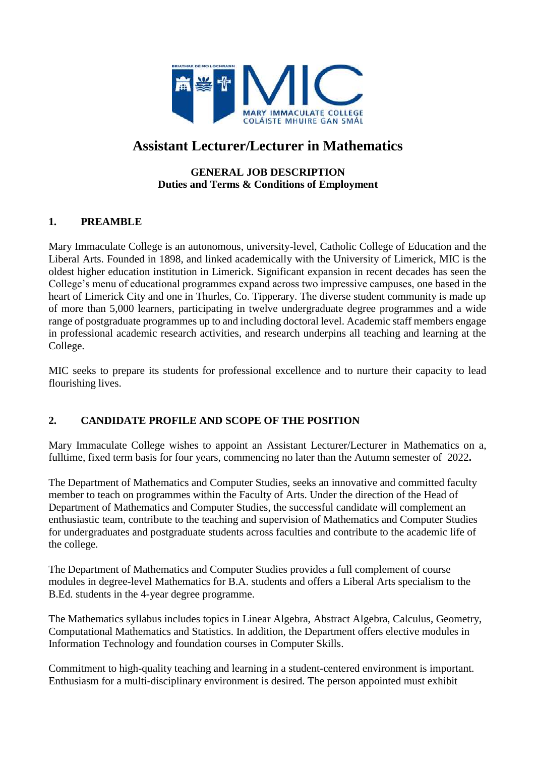

# **Assistant Lecturer/Lecturer in Mathematics**

# **GENERAL JOB DESCRIPTION Duties and Terms & Conditions of Employment**

# **1. PREAMBLE**

Mary Immaculate College is an autonomous, university-level, Catholic College of Education and the Liberal Arts. Founded in 1898, and linked academically with the University of Limerick, MIC is the oldest higher education institution in Limerick. Significant expansion in recent decades has seen the College's menu of educational programmes expand across two impressive campuses, one based in the heart of Limerick City and one in Thurles, Co. Tipperary. The diverse student community is made up of more than 5,000 learners, participating in twelve undergraduate degree programmes and a wide range of postgraduate programmes up to and including doctoral level. Academic staff members engage in professional academic research activities, and research underpins all teaching and learning at the College.

MIC seeks to prepare its students for professional excellence and to nurture their capacity to lead flourishing lives.

# **2. CANDIDATE PROFILE AND SCOPE OF THE POSITION**

Mary Immaculate College wishes to appoint an Assistant Lecturer/Lecturer in Mathematics on a, fulltime, fixed term basis for four years, commencing no later than the Autumn semester of 2022**.**

The Department of Mathematics and Computer Studies, seeks an innovative and committed faculty member to teach on programmes within the Faculty of Arts. Under the direction of the Head of Department of Mathematics and Computer Studies, the successful candidate will complement an enthusiastic team, contribute to the teaching and supervision of Mathematics and Computer Studies for undergraduates and postgraduate students across faculties and contribute to the academic life of the college.

The Department of Mathematics and Computer Studies provides a full complement of course modules in degree-level Mathematics for B.A. students and offers a Liberal Arts specialism to the B.Ed. students in the 4-year degree programme.

The Mathematics syllabus includes topics in Linear Algebra, Abstract Algebra, Calculus, Geometry, Computational Mathematics and Statistics. In addition, the Department offers elective modules in Information Technology and foundation courses in Computer Skills.

Commitment to high-quality teaching and learning in a student-centered environment is important. Enthusiasm for a multi-disciplinary environment is desired. The person appointed must exhibit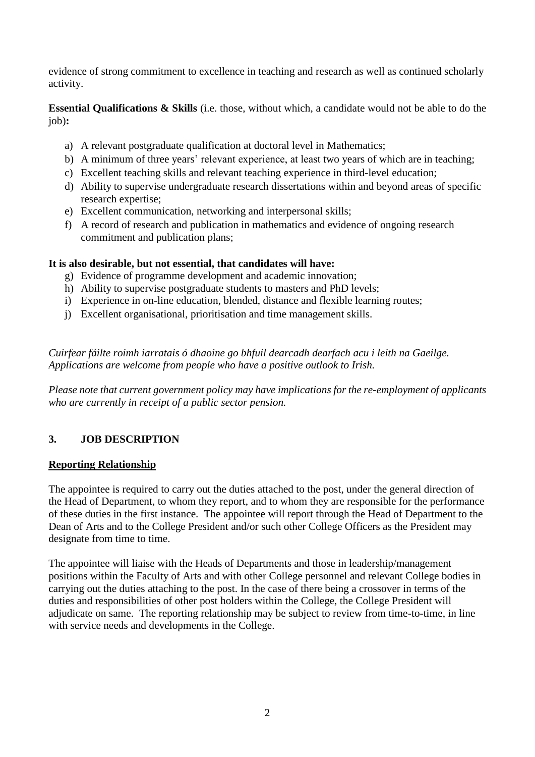evidence of strong commitment to excellence in teaching and research as well as continued scholarly activity.

**Essential Qualifications & Skills** (i.e. those, without which, a candidate would not be able to do the job)**:**

- a) A relevant postgraduate qualification at doctoral level in Mathematics;
- b) A minimum of three years' relevant experience, at least two years of which are in teaching;
- c) Excellent teaching skills and relevant teaching experience in third-level education;
- d) Ability to supervise undergraduate research dissertations within and beyond areas of specific research expertise;
- e) Excellent communication, networking and interpersonal skills;
- f) A record of research and publication in mathematics and evidence of ongoing research commitment and publication plans;

# **It is also desirable, but not essential, that candidates will have:**

- g) Evidence of programme development and academic innovation;
- h) Ability to supervise postgraduate students to masters and PhD levels;
- i) Experience in on-line education, blended, distance and flexible learning routes;
- j) Excellent organisational, prioritisation and time management skills.

*Cuirfear fáilte roimh iarratais ó dhaoine go bhfuil dearcadh dearfach acu i leith na Gaeilge. Applications are welcome from people who have a positive outlook to Irish.*

*Please note that current government policy may have implications for the re-employment of applicants who are currently in receipt of a public sector pension.*

# **3. JOB DESCRIPTION**

# **Reporting Relationship**

The appointee is required to carry out the duties attached to the post, under the general direction of the Head of Department, to whom they report, and to whom they are responsible for the performance of these duties in the first instance. The appointee will report through the Head of Department to the Dean of Arts and to the College President and/or such other College Officers as the President may designate from time to time.

The appointee will liaise with the Heads of Departments and those in leadership/management positions within the Faculty of Arts and with other College personnel and relevant College bodies in carrying out the duties attaching to the post. In the case of there being a crossover in terms of the duties and responsibilities of other post holders within the College, the College President will adjudicate on same. The reporting relationship may be subject to review from time-to-time, in line with service needs and developments in the College.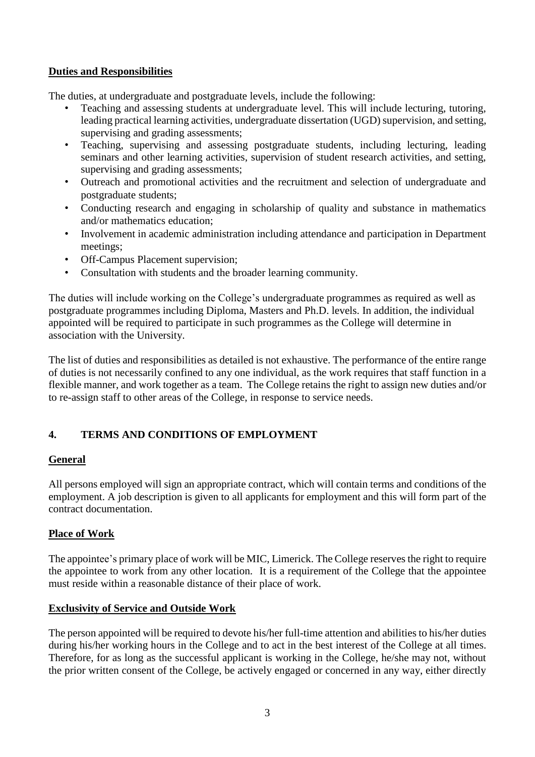# **Duties and Responsibilities**

The duties, at undergraduate and postgraduate levels, include the following:

- Teaching and assessing students at undergraduate level. This will include lecturing, tutoring, leading practical learning activities, undergraduate dissertation (UGD) supervision, and setting, supervising and grading assessments;
- Teaching, supervising and assessing postgraduate students, including lecturing, leading seminars and other learning activities, supervision of student research activities, and setting, supervising and grading assessments;
- Outreach and promotional activities and the recruitment and selection of undergraduate and postgraduate students;
- Conducting research and engaging in scholarship of quality and substance in mathematics and/or mathematics education;
- Involvement in academic administration including attendance and participation in Department meetings;
- Off-Campus Placement supervision;
- Consultation with students and the broader learning community.

The duties will include working on the College's undergraduate programmes as required as well as postgraduate programmes including Diploma, Masters and Ph.D. levels. In addition, the individual appointed will be required to participate in such programmes as the College will determine in association with the University.

The list of duties and responsibilities as detailed is not exhaustive. The performance of the entire range of duties is not necessarily confined to any one individual, as the work requires that staff function in a flexible manner, and work together as a team. The College retains the right to assign new duties and/or to re-assign staff to other areas of the College, in response to service needs.

# **4. TERMS AND CONDITIONS OF EMPLOYMENT**

# **General**

All persons employed will sign an appropriate contract, which will contain terms and conditions of the employment. A job description is given to all applicants for employment and this will form part of the contract documentation.

# **Place of Work**

The appointee's primary place of work will be MIC, Limerick. The College reserves the right to require the appointee to work from any other location. It is a requirement of the College that the appointee must reside within a reasonable distance of their place of work.

# **Exclusivity of Service and Outside Work**

The person appointed will be required to devote his/her full-time attention and abilities to his/her duties during his/her working hours in the College and to act in the best interest of the College at all times. Therefore, for as long as the successful applicant is working in the College, he/she may not, without the prior written consent of the College, be actively engaged or concerned in any way, either directly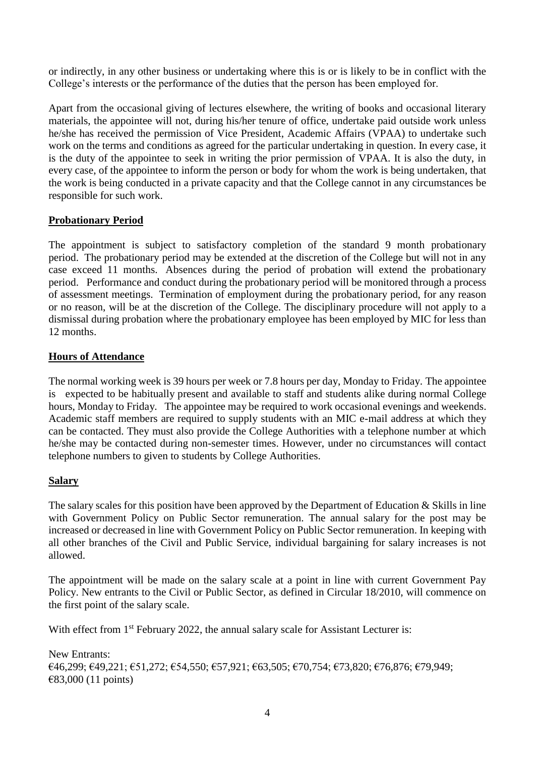or indirectly, in any other business or undertaking where this is or is likely to be in conflict with the College's interests or the performance of the duties that the person has been employed for.

Apart from the occasional giving of lectures elsewhere, the writing of books and occasional literary materials, the appointee will not, during his/her tenure of office, undertake paid outside work unless he/she has received the permission of Vice President, Academic Affairs (VPAA) to undertake such work on the terms and conditions as agreed for the particular undertaking in question. In every case, it is the duty of the appointee to seek in writing the prior permission of VPAA. It is also the duty, in every case, of the appointee to inform the person or body for whom the work is being undertaken, that the work is being conducted in a private capacity and that the College cannot in any circumstances be responsible for such work.

# **Probationary Period**

The appointment is subject to satisfactory completion of the standard 9 month probationary period. The probationary period may be extended at the discretion of the College but will not in any case exceed 11 months. Absences during the period of probation will extend the probationary period. Performance and conduct during the probationary period will be monitored through a process of assessment meetings. Termination of employment during the probationary period, for any reason or no reason, will be at the discretion of the College. The disciplinary procedure will not apply to a dismissal during probation where the probationary employee has been employed by MIC for less than 12 months.

### **Hours of Attendance**

The normal working week is 39 hours per week or 7.8 hours per day, Monday to Friday. The appointee is expected to be habitually present and available to staff and students alike during normal College hours, Monday to Friday. The appointee may be required to work occasional evenings and weekends. Academic staff members are required to supply students with an MIC e-mail address at which they can be contacted. They must also provide the College Authorities with a telephone number at which he/she may be contacted during non-semester times. However, under no circumstances will contact telephone numbers to given to students by College Authorities.

#### **Salary**

The salary scales for this position have been approved by the Department of Education & Skills in line with Government Policy on Public Sector remuneration. The annual salary for the post may be increased or decreased in line with Government Policy on Public Sector remuneration. In keeping with all other branches of the Civil and Public Service, individual bargaining for salary increases is not allowed.

The appointment will be made on the salary scale at a point in line with current Government Pay Policy. New entrants to the Civil or Public Sector, as defined in Circular 18/2010, will commence on the first point of the salary scale.

With effect from 1<sup>st</sup> February 2022, the annual salary scale for Assistant Lecturer is:

New Entrants: €46,299; €49,221; €51,272; €54,550; €57,921; €63,505; €70,754; €73,820; €76,876; €79,949; €83,000 (11 points)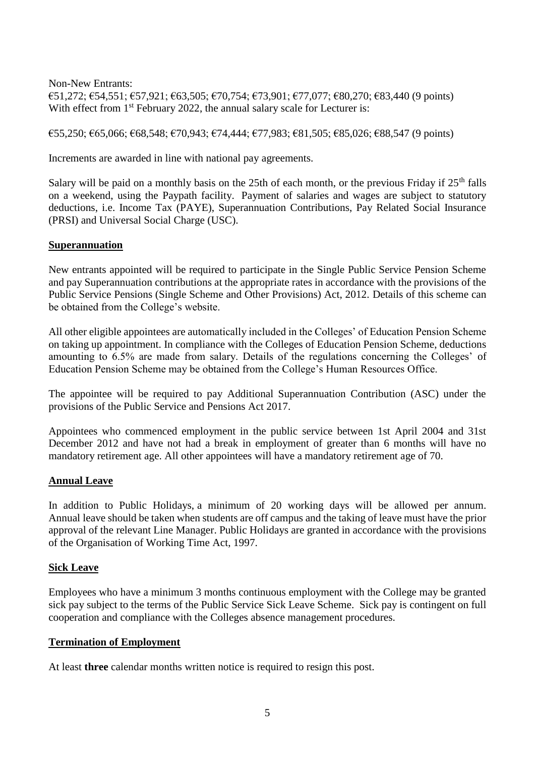Non-New Entrants:  $€51,272;$  €54,551; €57,921; €63,505; €70,754; €73,901; €77,077; €80,270; €83,440 (9 points) With effect from 1<sup>st</sup> February 2022, the annual salary scale for Lecturer is:

€55,250; €65,066; €68,548; €70,943; €74,444; €77,983; €81,505; €85,026; €88,547 (9 points)

Increments are awarded in line with national pay agreements.

Salary will be paid on a monthly basis on the 25th of each month, or the previous Friday if  $25<sup>th</sup>$  falls on a weekend, using the Paypath facility. Payment of salaries and wages are subject to statutory deductions, i.e. Income Tax (PAYE), Superannuation Contributions, Pay Related Social Insurance (PRSI) and Universal Social Charge (USC).

#### **Superannuation**

New entrants appointed will be required to participate in the Single Public Service Pension Scheme and pay Superannuation contributions at the appropriate rates in accordance with the provisions of the Public Service Pensions (Single Scheme and Other Provisions) Act, 2012. Details of this scheme can be obtained from the College's website.

All other eligible appointees are automatically included in the Colleges' of Education Pension Scheme on taking up appointment. In compliance with the Colleges of Education Pension Scheme, deductions amounting to 6.5% are made from salary. Details of the regulations concerning the Colleges' of Education Pension Scheme may be obtained from the College's Human Resources Office.

The appointee will be required to pay Additional Superannuation Contribution (ASC) under the provisions of the Public Service and Pensions Act 2017.

Appointees who commenced employment in the public service between 1st April 2004 and 31st December 2012 and have not had a break in employment of greater than 6 months will have no mandatory retirement age. All other appointees will have a mandatory retirement age of 70.

#### **Annual Leave**

In addition to Public Holidays, a minimum of 20 working days will be allowed per annum. Annual leave should be taken when students are off campus and the taking of leave must have the prior approval of the relevant Line Manager. Public Holidays are granted in accordance with the provisions of the Organisation of Working Time Act, 1997.

#### **Sick Leave**

Employees who have a minimum 3 months continuous employment with the College may be granted sick pay subject to the terms of the Public Service Sick Leave Scheme. Sick pay is contingent on full cooperation and compliance with the Colleges absence management procedures.

#### **Termination of Employment**

At least **three** calendar months written notice is required to resign this post.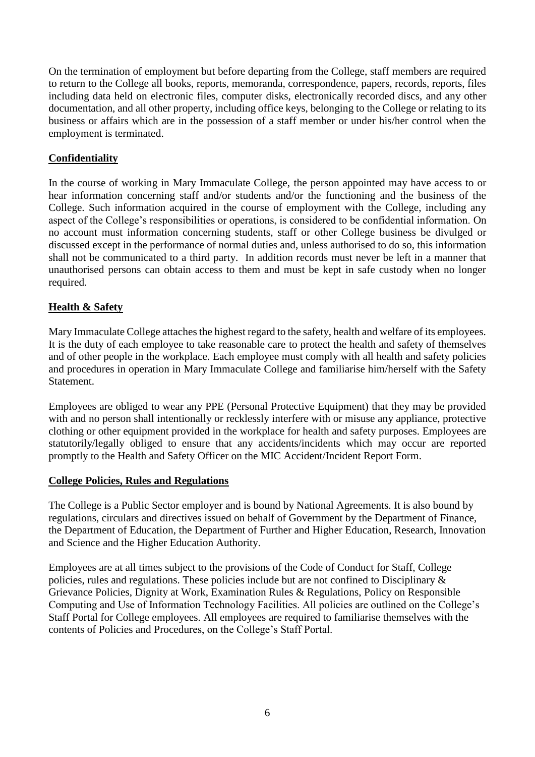On the termination of employment but before departing from the College, staff members are required to return to the College all books, reports, memoranda, correspondence, papers, records, reports, files including data held on electronic files, computer disks, electronically recorded discs, and any other documentation, and all other property, including office keys, belonging to the College or relating to its business or affairs which are in the possession of a staff member or under his/her control when the employment is terminated.

# **Confidentiality**

In the course of working in Mary Immaculate College, the person appointed may have access to or hear information concerning staff and/or students and/or the functioning and the business of the College. Such information acquired in the course of employment with the College, including any aspect of the College's responsibilities or operations, is considered to be confidential information. On no account must information concerning students, staff or other College business be divulged or discussed except in the performance of normal duties and, unless authorised to do so, this information shall not be communicated to a third party. In addition records must never be left in a manner that unauthorised persons can obtain access to them and must be kept in safe custody when no longer required.

# **Health & Safety**

Mary Immaculate College attaches the highest regard to the safety, health and welfare of its employees. It is the duty of each employee to take reasonable care to protect the health and safety of themselves and of other people in the workplace. Each employee must comply with all health and safety policies and procedures in operation in Mary Immaculate College and familiarise him/herself with the Safety Statement.

Employees are obliged to wear any PPE (Personal Protective Equipment) that they may be provided with and no person shall intentionally or recklessly interfere with or misuse any appliance, protective clothing or other equipment provided in the workplace for health and safety purposes. Employees are statutorily/legally obliged to ensure that any accidents/incidents which may occur are reported promptly to the Health and Safety Officer on the MIC Accident/Incident Report Form.

#### **College Policies, Rules and Regulations**

The College is a Public Sector employer and is bound by National Agreements. It is also bound by regulations, circulars and directives issued on behalf of Government by the Department of Finance, the Department of Education, the Department of Further and Higher Education, Research, Innovation and Science and the Higher Education Authority.

Employees are at all times subject to the provisions of the Code of Conduct for Staff, College policies, rules and regulations. These policies include but are not confined to Disciplinary & Grievance Policies, Dignity at Work, Examination Rules & Regulations, Policy on Responsible Computing and Use of Information Technology Facilities. All policies are outlined on the College's Staff Portal for College employees. All employees are required to familiarise themselves with the contents of Policies and Procedures, on the College's Staff Portal.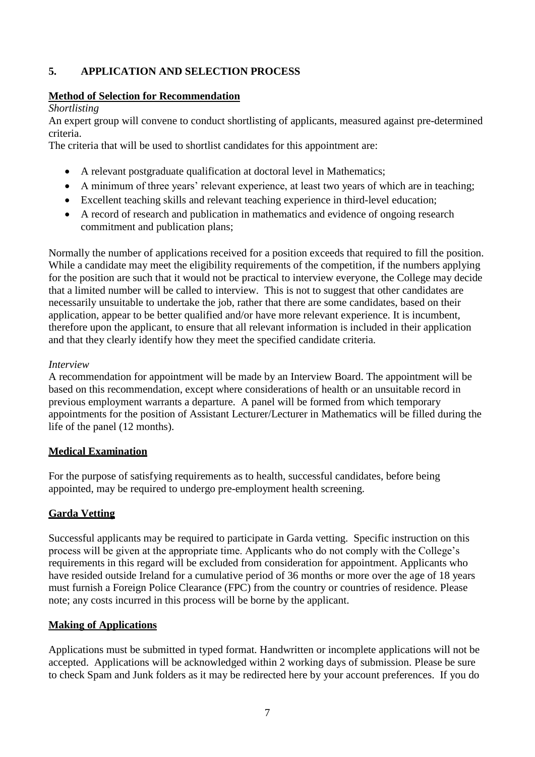# **5. APPLICATION AND SELECTION PROCESS**

#### **Method of Selection for Recommendation**

#### *Shortlisting*

An expert group will convene to conduct shortlisting of applicants, measured against pre-determined criteria.

The criteria that will be used to shortlist candidates for this appointment are:

- A relevant postgraduate qualification at doctoral level in Mathematics;
- A minimum of three years' relevant experience, at least two years of which are in teaching;
- Excellent teaching skills and relevant teaching experience in third-level education;
- A record of research and publication in mathematics and evidence of ongoing research commitment and publication plans;

Normally the number of applications received for a position exceeds that required to fill the position. While a candidate may meet the eligibility requirements of the competition, if the numbers applying for the position are such that it would not be practical to interview everyone, the College may decide that a limited number will be called to interview. This is not to suggest that other candidates are necessarily unsuitable to undertake the job, rather that there are some candidates, based on their application, appear to be better qualified and/or have more relevant experience. It is incumbent, therefore upon the applicant, to ensure that all relevant information is included in their application and that they clearly identify how they meet the specified candidate criteria.

### *Interview*

A recommendation for appointment will be made by an Interview Board. The appointment will be based on this recommendation, except where considerations of health or an unsuitable record in previous employment warrants a departure. A panel will be formed from which temporary appointments for the position of Assistant Lecturer/Lecturer in Mathematics will be filled during the life of the panel (12 months).

# **Medical Examination**

For the purpose of satisfying requirements as to health, successful candidates, before being appointed, may be required to undergo pre-employment health screening.

# **Garda Vetting**

Successful applicants may be required to participate in Garda vetting. Specific instruction on this process will be given at the appropriate time. Applicants who do not comply with the College's requirements in this regard will be excluded from consideration for appointment. Applicants who have resided outside Ireland for a cumulative period of 36 months or more over the age of 18 years must furnish a Foreign Police Clearance (FPC) from the country or countries of residence. Please note; any costs incurred in this process will be borne by the applicant.

#### **Making of Applications**

Applications must be submitted in typed format. Handwritten or incomplete applications will not be accepted. Applications will be acknowledged within 2 working days of submission. Please be sure to check Spam and Junk folders as it may be redirected here by your account preferences. If you do